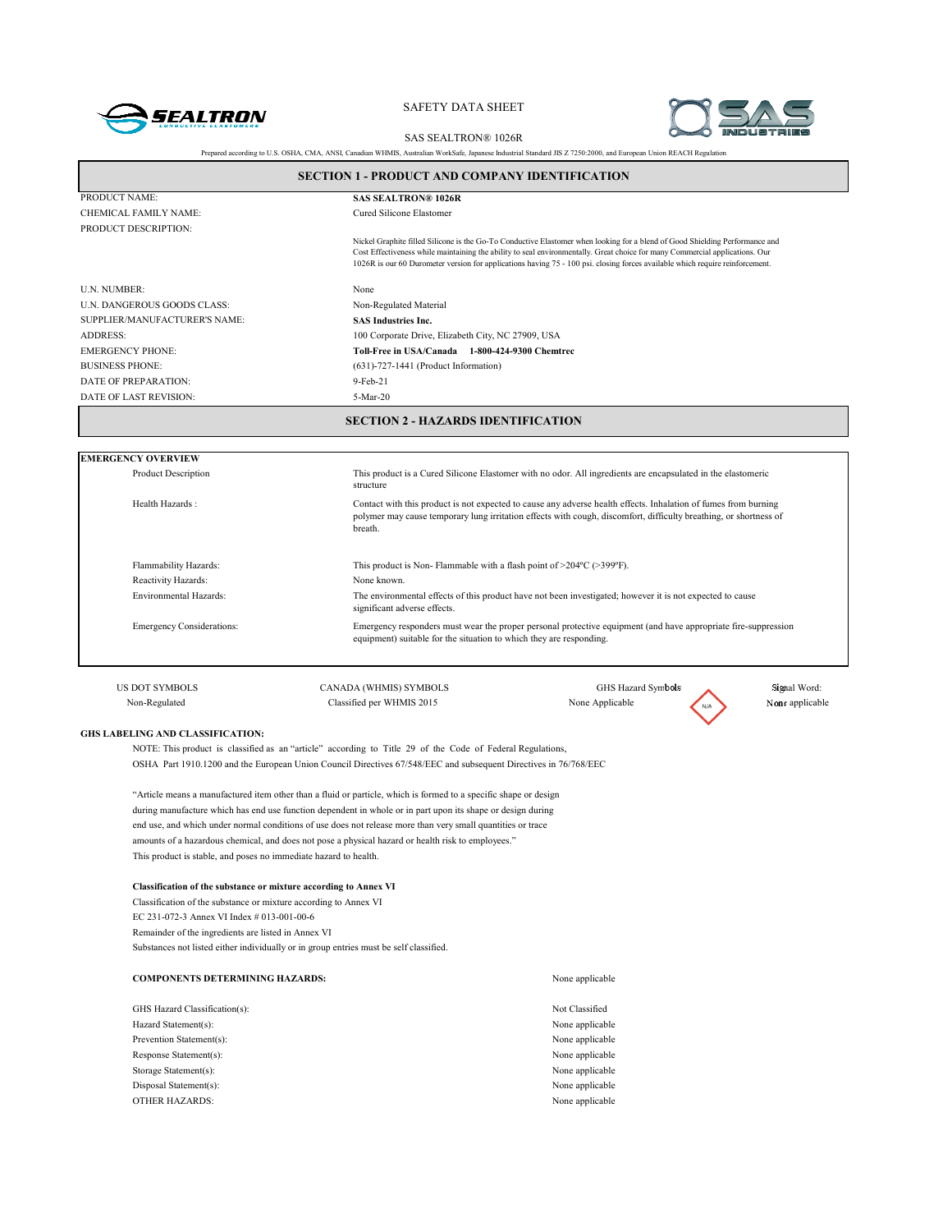



Prepared according to U.S. OSHA, CMA, ANSI, Canadian WHMIS, Australian WorkSafe, Japanese Industrial Standard JIS Z 7250:2000, and European Union REACH Regulation SAS SEALTRON® 1026R

|                                                  | <b>SECTION 1 - PRODUCT AND COMPANY IDENTIFICATION</b>                                                                                                                                                                                                                                                                                                                                         |
|--------------------------------------------------|-----------------------------------------------------------------------------------------------------------------------------------------------------------------------------------------------------------------------------------------------------------------------------------------------------------------------------------------------------------------------------------------------|
| PRODUCT NAME:                                    | <b>SAS SEALTRON® 1026R</b>                                                                                                                                                                                                                                                                                                                                                                    |
| CHEMICAL FAMILY NAME:                            | Cured Silicone Elastomer                                                                                                                                                                                                                                                                                                                                                                      |
| PRODUCT DESCRIPTION:                             |                                                                                                                                                                                                                                                                                                                                                                                               |
|                                                  | Nickel Graphite filled Silicone is the Go-To Conductive Elastomer when looking for a blend of Good Shielding Performance and<br>Cost Effectiveness while maintaining the ability to seal environmentally. Great choice for many Commercial applications. Our<br>1026R is our 60 Durometer version for applications having 75 - 100 psi. closing forces available which require reinforcement. |
| <b>U.N. NUMBER:</b>                              | None                                                                                                                                                                                                                                                                                                                                                                                          |
| U.N. DANGEROUS GOODS CLASS:                      | Non-Regulated Material                                                                                                                                                                                                                                                                                                                                                                        |
| SUPPLIER/MANUFACTURER'S NAME:                    | <b>SAS Industries Inc.</b>                                                                                                                                                                                                                                                                                                                                                                    |
| <b>ADDRESS:</b>                                  | 100 Corporate Drive, Elizabeth City, NC 27909, USA                                                                                                                                                                                                                                                                                                                                            |
| <b>EMERGENCY PHONE:</b>                          | Toll-Free in USA/Canada 1-800-424-9300 Chemtrec                                                                                                                                                                                                                                                                                                                                               |
| <b>BUSINESS PHONE:</b>                           | $(631)$ -727-1441 (Product Information)                                                                                                                                                                                                                                                                                                                                                       |
| DATE OF PREPARATION:                             | 9-Feb-21                                                                                                                                                                                                                                                                                                                                                                                      |
| DATE OF LAST REVISION:                           | 5-Mar-20                                                                                                                                                                                                                                                                                                                                                                                      |
|                                                  |                                                                                                                                                                                                                                                                                                                                                                                               |
|                                                  |                                                                                                                                                                                                                                                                                                                                                                                               |
| <b>Product Description</b>                       | This product is a Cured Silicone Elastomer with no odor. All ingredients are encapsulated in the elastomeric<br>structure                                                                                                                                                                                                                                                                     |
| Health Hazards:                                  | Contact with this product is not expected to cause any adverse health effects. Inhalation of fumes from burning<br>polymer may cause temporary lung irritation effects with cough, discomfort, difficulty breathing, or shortness of<br>breath.                                                                                                                                               |
| Flammability Hazards:                            | This product is Non-Flammable with a flash point of $>$ 204°C ( $>$ 399°F).                                                                                                                                                                                                                                                                                                                   |
| <b>EMERGENCY OVERVIEW</b><br>Reactivity Hazards: | None known.                                                                                                                                                                                                                                                                                                                                                                                   |
| <b>Environmental Hazards:</b>                    | The environmental effects of this product have not been investigated; however it is not expected to cause<br>significant adverse effects.                                                                                                                                                                                                                                                     |
| <b>Emergency Considerations:</b>                 | Emergency responders must wear the proper personal protective equipment (and have appropriate fire-suppression<br>equipment) suitable for the situation to which they are responding.                                                                                                                                                                                                         |
| <b>US DOT SYMBOLS</b>                            | Signal Word:<br>CANADA (WHMIS) SYMBOLS<br>GHS Hazard Symbols                                                                                                                                                                                                                                                                                                                                  |
| Non-Regulated                                    | None applicable<br>Classified per WHMIS 2015<br>None Applicable                                                                                                                                                                                                                                                                                                                               |
|                                                  |                                                                                                                                                                                                                                                                                                                                                                                               |

"Article means a manufactured item other than a fluid or particle, which is formed to a specific shape or design during manufacture which has end use function dependent in whole or in part upon its shape or design during end use, and which under normal conditions of use does not release more than very small quantities or trace amounts of a hazardous chemical, and does not pose a physical hazard or health risk to employees." This product is stable, and poses no immediate hazard to health.

#### **Classification of the substance or mixture according to Annex VI**

Classification of the substance or mixture according to Annex VI EC 231-072-3 Annex VI Index # 013-001-00-6 Remainder of the ingredients are listed in Annex VI Substances not listed either individually or in group entries must be self classified.

| <b>COMPONENTS DETERMINING HAZARDS:</b> | None applicable |
|----------------------------------------|-----------------|
| GHS Hazard Classification(s):          | Not Classified  |
| Hazard Statement(s):                   | None applicable |
| Prevention Statement(s):               | None applicable |
| Response Statement(s):                 | None applicable |
| Storage Statement(s):                  | None applicable |
| Disposal Statement(s):                 | None applicable |
| <b>OTHER HAZARDS:</b>                  | None applicable |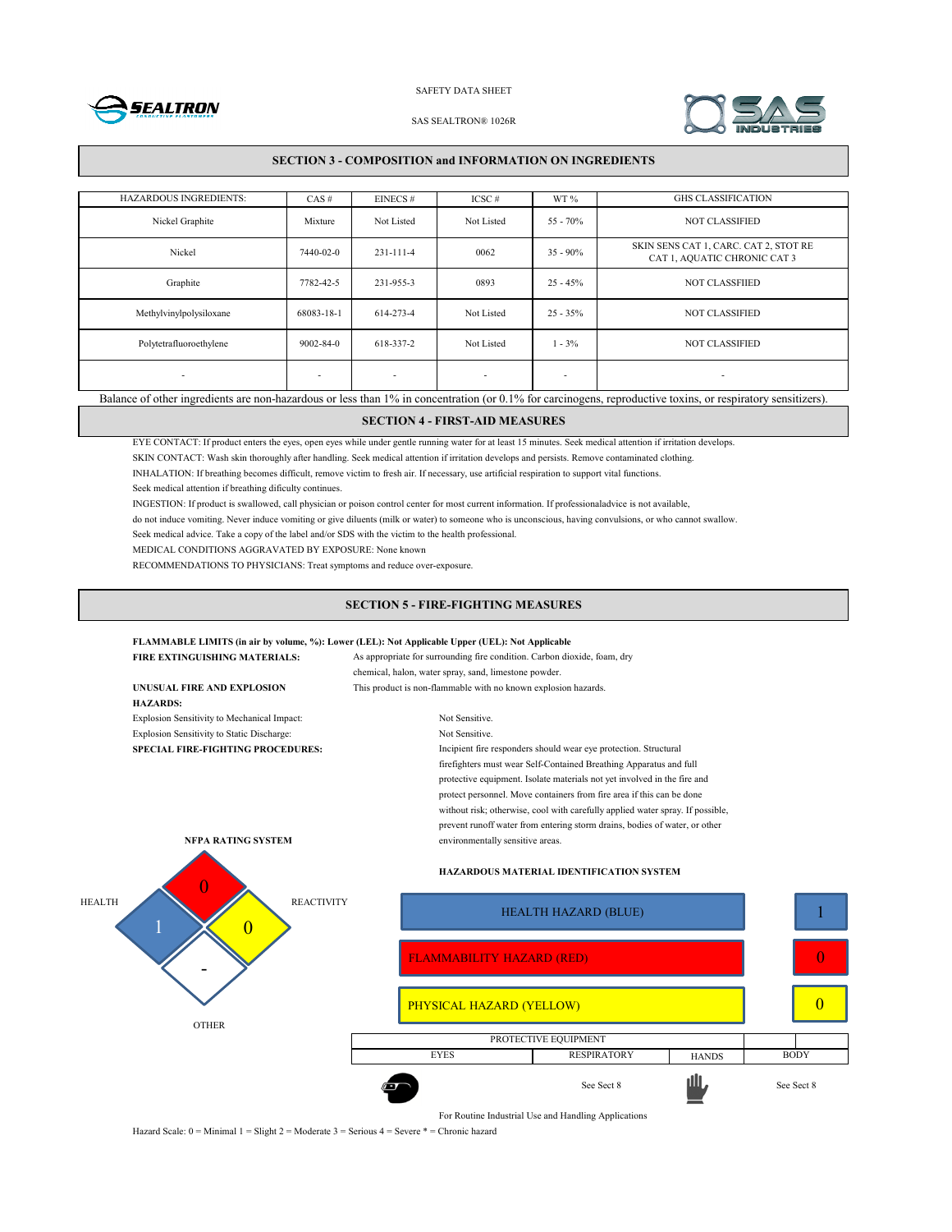



#### SAS SEALTRON® 1026R

## **SECTION 3 - COMPOSITION and INFORMATION ON INGREDIENTS**

| <b>HAZARDOUS INGREDIENTS:</b>                                                                                                                               | $CAS \#$                 | $EINECS \#$              | $ICSC \#$                | WT%         | <b>GHS CLASSIFICATION</b>                                             |
|-------------------------------------------------------------------------------------------------------------------------------------------------------------|--------------------------|--------------------------|--------------------------|-------------|-----------------------------------------------------------------------|
| Nickel Graphite                                                                                                                                             | Mixture                  | Not Listed               | Not Listed               | $55 - 70%$  | <b>NOT CLASSIFIED</b>                                                 |
| Nickel                                                                                                                                                      | 7440-02-0                | 231-111-4                | 0062                     | $35 - 90\%$ | SKIN SENS CAT 1, CARC. CAT 2, STOT RE<br>CAT 1, AQUATIC CHRONIC CAT 3 |
| Graphite                                                                                                                                                    | 7782-42-5                | 231-955-3                | 0893                     | $25 - 45%$  | <b>NOT CLASSFIIED</b>                                                 |
| Methylvinylpolysiloxane                                                                                                                                     | 68083-18-1               | 614-273-4                | Not Listed               | $25 - 35%$  | <b>NOT CLASSIFIED</b>                                                 |
| Polytetrafluoroethylene                                                                                                                                     | $9002 - 84 - 0$          | 618-337-2                | Not Listed               | $1 - 3\%$   | <b>NOT CLASSIFIED</b>                                                 |
| $\overline{\phantom{a}}$                                                                                                                                    | $\overline{\phantom{a}}$ | $\overline{\phantom{a}}$ | $\overline{\phantom{a}}$ | ٠           | $\overline{\phantom{a}}$                                              |
| Balance of other ingredients are non-hazardous or less than 1% in concentration (or 0.1% for carcinogens, reproductive toxins, or respiratory sensitizers). |                          |                          |                          |             |                                                                       |

## **SECTION 4 - FIRST-AID MEASURES**

EYE CONTACT: If product enters the eyes, open eyes while under gentle running water for at least 15 minutes. Seek medical attention if irritation develops.

SKIN CONTACT: Wash skin thoroughly after handling. Seek medical attention if irritation develops and persists. Remove contaminated clothing.

INHALATION: If breathing becomes difficult, remove victim to fresh air. If necessary, use artificial respiration to support vital functions.

Seek medical attention if breathing dificulty continues.

INGESTION: If product is swallowed, call physician or poison control center for most current information. If professionaladvice is not available,

do not induce vomiting. Never induce vomiting or give diluents (milk or water) to someone who is unconscious, having convulsions, or who cannot swallow.

Seek medical advice. Take a copy of the label and/or SDS with the victim to the health professional.

MEDICAL CONDITIONS AGGRAVATED BY EXPOSURE: None known

RECOMMENDATIONS TO PHYSICIANS: Treat symptoms and reduce over-exposure.

## **SECTION 5 - FIRE-FIGHTING MEASURES**

### **FLAMMABLE LIMITS (in air by volume, %): Lower (LEL): Not Applicable Upper (UEL): Not Applicable**

| <b>FIRE EXTINGUISHING MATERIALS:</b>        | As appropriate for surrounding fire condition. Carbon dioxide, foam, dry                                                                                                                                                                                                                                                                                                                |
|---------------------------------------------|-----------------------------------------------------------------------------------------------------------------------------------------------------------------------------------------------------------------------------------------------------------------------------------------------------------------------------------------------------------------------------------------|
| UNUSUAL FIRE AND EXPLOSION                  | chemical, halon, water spray, sand, limestone powder.<br>This product is non-flammable with no known explosion hazards.                                                                                                                                                                                                                                                                 |
| <b>HAZARDS:</b>                             |                                                                                                                                                                                                                                                                                                                                                                                         |
| Explosion Sensitivity to Mechanical Impact: | Not Sensitive                                                                                                                                                                                                                                                                                                                                                                           |
| Explosion Sensitivity to Static Discharge:  | Not Sensitive.                                                                                                                                                                                                                                                                                                                                                                          |
| <b>SPECIAL FIRE-FIGHTING PROCEDURES:</b>    | Incipient fire responders should wear eye protection. Structural                                                                                                                                                                                                                                                                                                                        |
|                                             | firefighters must wear Self-Contained Breathing Apparatus and full<br>protective equipment. Isolate materials not yet involved in the fire and<br>protect personnel. Move containers from fire area if this can be done<br>without risk; otherwise, cool with carefully applied water spray. If possible,<br>prevent runoff water from entering storm drains, bodies of water, or other |
| NFPA RATING SYSTEM                          | environmentally sensitive areas.                                                                                                                                                                                                                                                                                                                                                        |
|                                             | <b>HAZARDOUS MATERIAL IDENTIFICATION SYSTEM</b>                                                                                                                                                                                                                                                                                                                                         |
| <b>HEALTH</b>                               | <b>REACTIVITY</b><br><b>HEALTH HAZARD (BLUE)</b>                                                                                                                                                                                                                                                                                                                                        |
|                                             | <b>FLAMMABILITY HAZARD (RED)</b>                                                                                                                                                                                                                                                                                                                                                        |
|                                             |                                                                                                                                                                                                                                                                                                                                                                                         |
|                                             | PHYSICAL HAZARD (YELLOW)                                                                                                                                                                                                                                                                                                                                                                |
| <b>OTHER</b>                                | PROTECTIVE EQUIPMENT                                                                                                                                                                                                                                                                                                                                                                    |
|                                             |                                                                                                                                                                                                                                                                                                                                                                                         |

For Routine Industrial Use and Handling Applications

**HANDS** 

1

0

0

See Sect 8 **III** See Sect 8

EYES RESPIRATORY HANDS BODY

Hazard Scale: 0 = Minimal 1 = Slight 2 = Moderate 3 = Serious 4 = Severe \* = Chronic hazard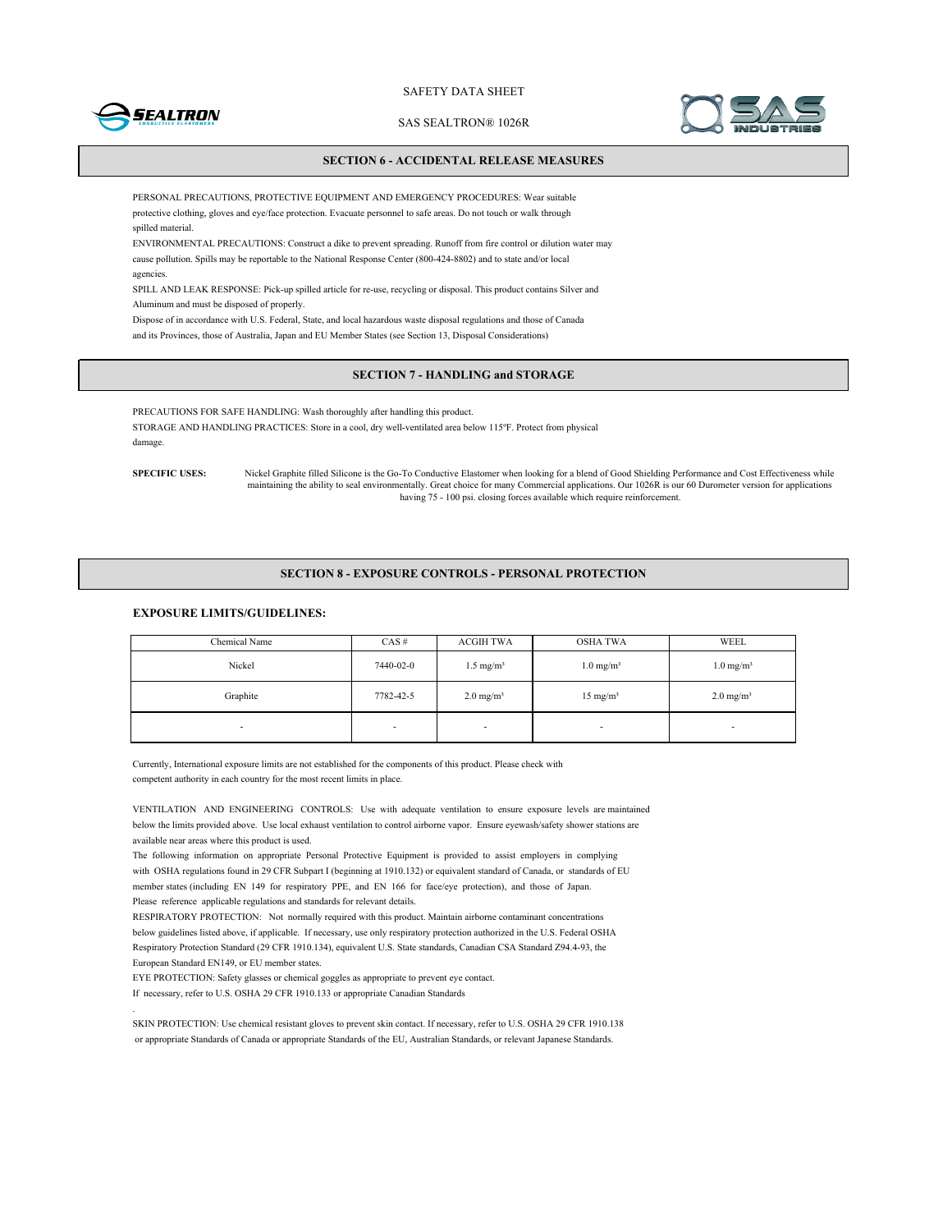

SAS SEALTRON® 1026R



## **SECTION 6 - ACCIDENTAL RELEASE MEASURES**

PERSONAL PRECAUTIONS, PROTECTIVE EQUIPMENT AND EMERGENCY PROCEDURES: Wear suitable protective clothing, gloves and eye/face protection. Evacuate personnel to safe areas. Do not touch or walk through spilled material.

ENVIRONMENTAL PRECAUTIONS: Construct a dike to prevent spreading. Runoff from fire control or dilution water may cause pollution. Spills may be reportable to the National Response Center (800-424-8802) and to state and/or local agencies.

SPILL AND LEAK RESPONSE: Pick-up spilled article for re-use, recycling or disposal. This product contains Silver and Aluminum and must be disposed of properly.

Dispose of in accordance with U.S. Federal, State, and local hazardous waste disposal regulations and those of Canada and its Provinces, those of Australia, Japan and EU Member States (see Section 13, Disposal Considerations)

## **SECTION 7 - HANDLING and STORAGE**

PRECAUTIONS FOR SAFE HANDLING: Wash thoroughly after handling this product. STORAGE AND HANDLING PRACTICES: Store in a cool, dry well-ventilated area below 115ºF. Protect from physical damage.

**SPECIFIC USES:** Nickel Graphite filled Silicone is the Go-To Conductive Elastomer when looking for a blend of Good Shielding Performance and Cost Effectiveness while maintaining the ability to seal environmentally. Great choice for many Commercial applications. Our 1026R is our 60 Durometer version for applications having 75 - 100 psi. closing forces available which require reinforcement.

#### **SECTION 8 - EXPOSURE CONTROLS - PERSONAL PROTECTION**

## **EXPOSURE LIMITS/GUIDELINES:**

| Chemical Name            | $CAS \#$  | <b>ACGIH TWA</b>         | <b>OSHA TWA</b>          | WEEL                    |
|--------------------------|-----------|--------------------------|--------------------------|-------------------------|
| Nickel                   | 7440-02-0 | $1.5 \text{ mg/m}^3$     | $1.0 \text{ mg/m}^3$     | $1.0$ mg/m <sup>3</sup> |
| Graphite                 | 7782-42-5 | $2.0 \text{ mg/m}^3$     | $15 \text{ mg/m}^3$      | $2.0 \text{ mg/m}^3$    |
| $\overline{\phantom{a}}$ |           | $\overline{\phantom{a}}$ | $\overline{\phantom{0}}$ | $\blacksquare$          |

Currently, International exposure limits are not established for the components of this product. Please check with competent authority in each country for the most recent limits in place.

VENTILATION AND ENGINEERING CONTROLS: Use with adequate ventilation to ensure exposure levels are maintained below the limits provided above. Use local exhaust ventilation to control airborne vapor. Ensure eyewash/safety shower stations are available near areas where this product is used.

The following information on appropriate Personal Protective Equipment is provided to assist employers in complying with OSHA regulations found in 29 CFR Subpart I (beginning at 1910.132) or equivalent standard of Canada, or standards of EU member states (including EN 149 for respiratory PPE, and EN 166 for face/eye protection), and those of Japan. Please reference applicable regulations and standards for relevant details.

RESPIRATORY PROTECTION: Not normally required with this product. Maintain airborne contaminant concentrations below guidelines listed above, if applicable. If necessary, use only respiratory protection authorized in the U.S. Federal OSHA Respiratory Protection Standard (29 CFR 1910.134), equivalent U.S. State standards, Canadian CSA Standard Z94.4-93, the European Standard EN149, or EU member states.

EYE PROTECTION: Safety glasses or chemical goggles as appropriate to prevent eye contact.

If necessary, refer to U.S. OSHA 29 CFR 1910.133 or appropriate Canadian Standards

.

SKIN PROTECTION: Use chemical resistant gloves to prevent skin contact. If necessary, refer to U.S. OSHA 29 CFR 1910.138 or appropriate Standards of Canada or appropriate Standards of the EU, Australian Standards, or relevant Japanese Standards.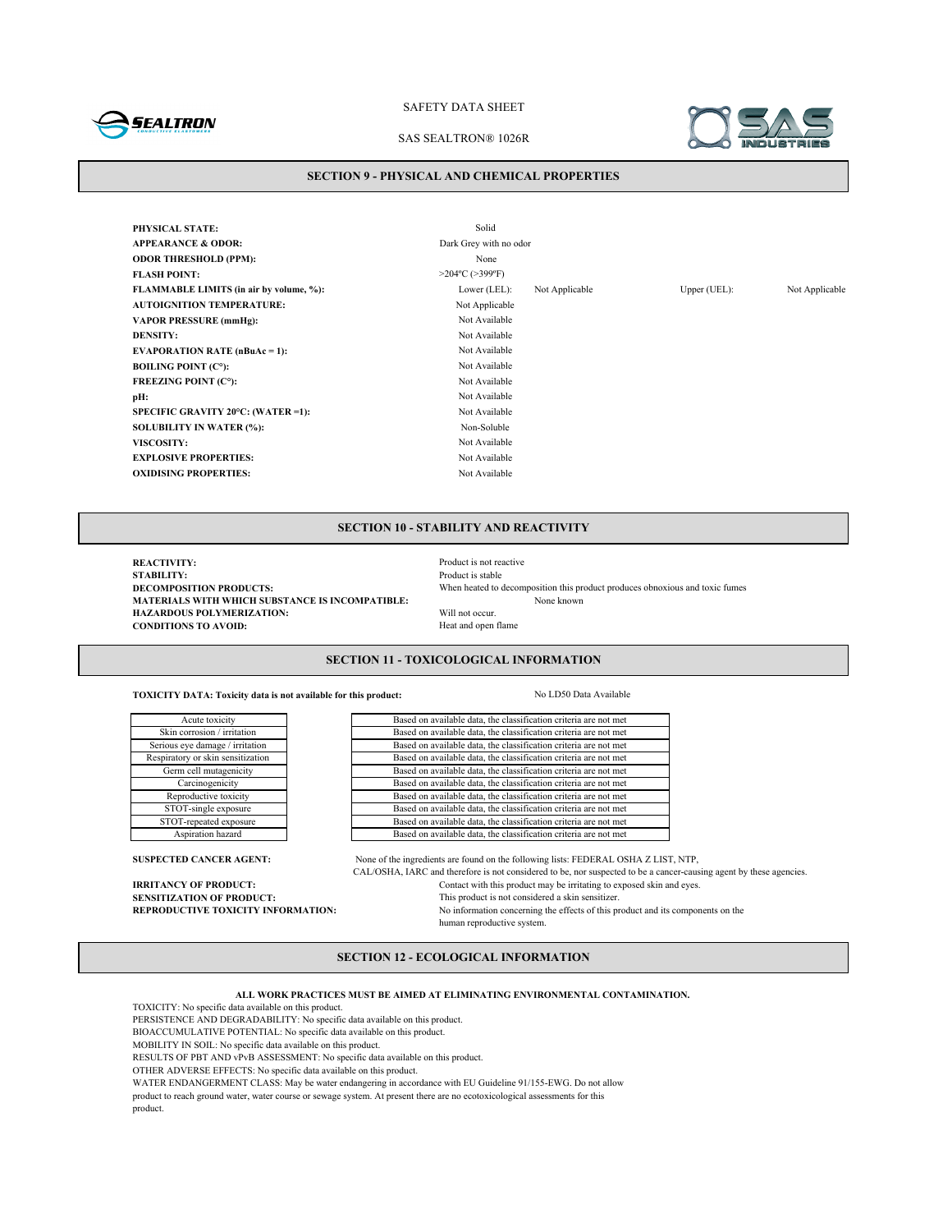

### SAS SEALTRON® 1026R

#### **SECTION 9 - PHYSICAL AND CHEMICAL PROPERTIES**

**PHYSICAL STATE:** Solid **APPEARANCE & ODOR:** Dark Grey with no odor **ODOR THRESHOLD (PPM):** None **FLASH POINT:** >204°C (>399°F) **FLAMMABLE LIMITS (in air by volume, %):** Lower (LEL): Not Applicable Upper (UEL): Not Applicable **AUTOIGNITION TEMPERATURE:** Not Applicable **VAPOR PRESSURE (mmHg):** Not Available **DENSITY:** Not Available **EVAPORATION RATE (nBuAc = 1):** Not Available **BOILING POINT (C°):** Not Available **FREEZING POINT (C°):** Not Available **pH:** Not Available **SPECIFIC GRAVITY 20°C: (WATER =1):** Not Available **SOLUBILITY IN WATER (%):** Non-Soluble **VISCOSITY:** Not Available **EXPLOSIVE PROPERTIES:** Not Available **OXIDISING PROPERTIES:** Not Available

## **SECTION 10 - STABILITY AND REACTIVITY**

**REACTIVITY:**<br> **REACTIVITY:**<br> **Product is stable STABILITY:** Product is stable<br>DECOMPOSITION PRODUCTS: When heated to when heated to a stable **MATERIALS WITH WHICH SUBSTANCE IS INCOMPATIBLE:**<br> **HAZARDOUS POLYMERIZATION:** Will not occur. **HAZARDOUS POLYMERIZATION:** Will not occur.<br> **CONDITIONS TO AVOID:** Heat and open flame **CONDITIONS TO AVOID:** 

When heated to decomposition this product produces obnoxious and toxic fumes None known

## **SECTION 11 - TOXICOLOGICAL INFORMATION**

**TOXICITY DATA: Toxicity data is not available for this product:** No LD50 Data Available

Based on available data, the classification criteria are not met Based on available data, the classification criteria are not met Based on available data, the classification criteria are not met Based on available data, the classification criteria are not met Based on available data, the classification criteria are not met Based on available data, the classification criteria are not met Based on available data, the classification criteria are not met Based on available data, the classification criteria are not met Based on available data, the classification criteria are not met Based on available data, the classification criteria are not met

**SUSPECTED CANCER AGENT:** None of the ingredients are found on the following lists: FEDERAL OSHA Z LIST, NTP, CAL/OSHA, IARC and therefore is not considered to be, nor suspected to be a cancer-causing agent by these agencies. **IRRITANCY OF PRODUCT:** Contact with this product may be irritating to exposed skin and eyes.<br>**SENSITIZATION OF PRODUCT:** This product is not considered a skin sensitizer. **SENSITIZATION OF PRODUCT:**<br> **REPRODUCTIVE TOXICITY INFORMATION:** No information concerning the effects of this m No information concerning the effects of this product and its components on the human reproductive system.

## **SECTION 12 - ECOLOGICAL INFORMATION**

**ALL WORK PRACTICES MUST BE AIMED AT ELIMINATING ENVIRONMENTAL CONTAMINATION.**

TOXICITY: No specific data available on this product.

Reproductive toxicity STOT-single exposure STOT-repeated exposure Aspiration hazard

Acute toxicity Skin corrosion / irritation Serious eye damage / irritation Respiratory or skin sensitization Germ cell mutagenicity Carcinogenicity

PERSISTENCE AND DEGRADABILITY: No specific data available on this product.

BIOACCUMULATIVE POTENTIAL: No specific data available on this product.

MOBILITY IN SOIL: No specific data available on this product.

RESULTS OF PBT AND vPvB ASSESSMENT: No specific data available on this product.

OTHER ADVERSE EFFECTS: No specific data available on this product.

WATER ENDANGERMENT CLASS: May be water endangering in accordance with EU Guideline 91/155-EWG. Do not allow

product to reach ground water, water course or sewage system. At present there are no ecotoxicological assessments for this product.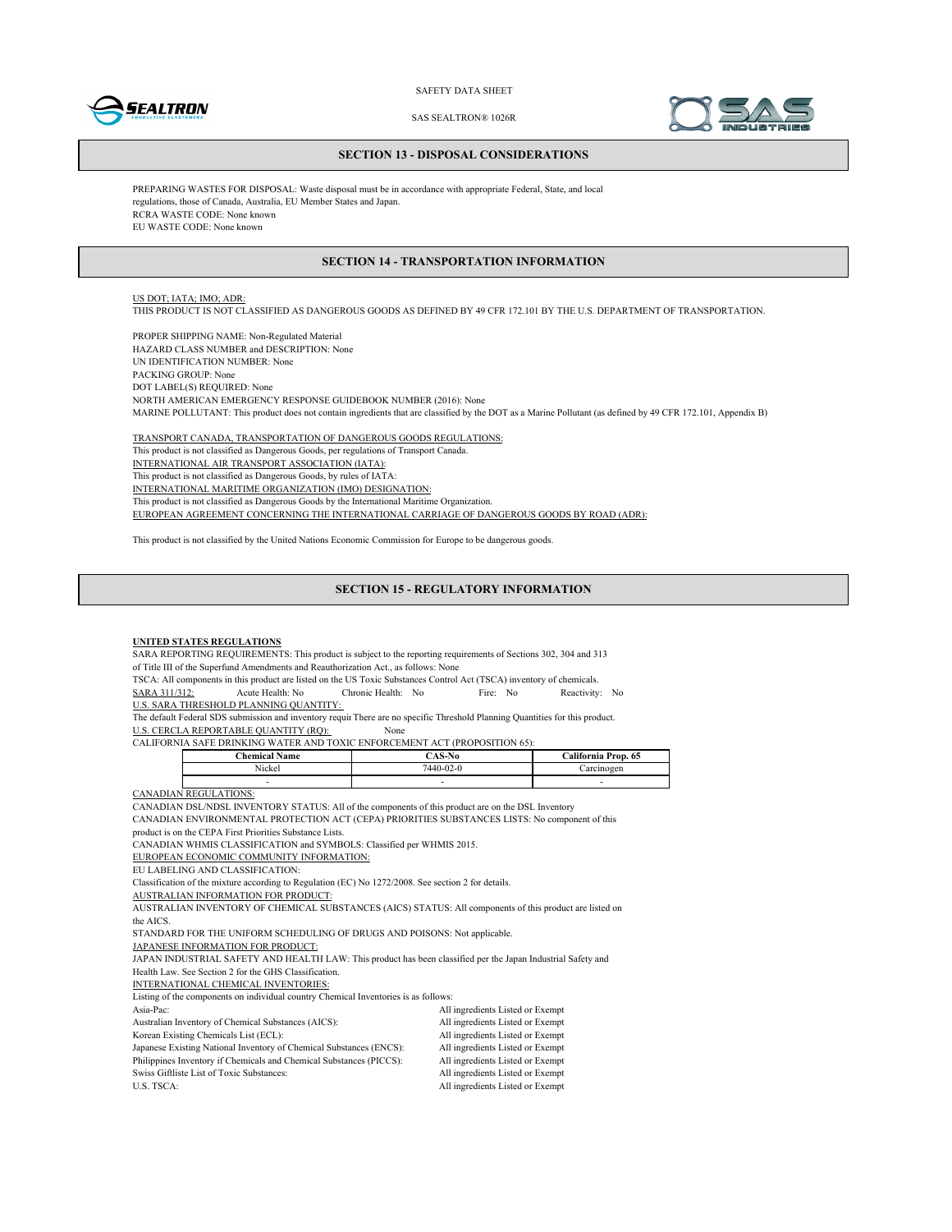



SAS SEALTRON® 1026R

#### **SECTION 13 - DISPOSAL CONSIDERATIONS**

PREPARING WASTES FOR DISPOSAL: Waste disposal must be in accordance with appropriate Federal, State, and local regulations, those of Canada, Australia, EU Member States and Japan. RCRA WASTE CODE: None known EU WASTE CODE: None known

## **SECTION 14 - TRANSPORTATION INFORMATION**

## US DOT; IATA; IMO; ADR:

THIS PRODUCT IS NOT CLASSIFIED AS DANGEROUS GOODS AS DEFINED BY 49 CFR 172.101 BY THE U.S. DEPARTMENT OF TRANSPORTATION.

PROPER SHIPPING NAME: Non-Regulated Material HAZARD CLASS NUMBER and DESCRIPTION: None UN IDENTIFICATION NUMBER: None PACKING GROUP: None DOT LABEL(S) REQUIRED: None NORTH AMERICAN EMERGENCY RESPONSE GUIDEBOOK NUMBER (2016): None MARINE POLLUTANT: This product does not contain ingredients that are classified by the DOT as a Marine Pollutant (as defined by 49 CFR 172.101, Appendix B)

TRANSPORT CANADA, TRANSPORTATION OF DANGEROUS GOODS REGULATIONS: This product is not classified as Dangerous Goods, per regulations of Transport Canada. INTERNATIONAL AIR TRANSPORT ASSOCIATION (IATA): This product is not classified as Dangerous Goods, by rules of IATA: INTERNATIONAL MARITIME ORGANIZATION (IMO) DESIGNATION: This product is not classified as Dangerous Goods by the International Maritime Organization. EUROPEAN AGREEMENT CONCERNING THE INTERNATIONAL CARRIAGE OF DANGEROUS GOODS BY ROAD (ADR):

This product is not classified by the United Nations Economic Commission for Europe to be dangerous goods.

### **SECTION 15 - REGULATORY INFORMATION**

#### **UNITED STATES REGULATIONS**

SARA REPORTING REQUIREMENTS: This product is subject to the reporting requirements of Sections 302, 304 and 313 of Title III of the Superfund Amendments and Reauthorization Act., as follows: None

TSCA: All components in this product are listed on the US Toxic Substances Control Act (TSCA) inventory of chemicals.<br>
SARA 311/312: Acute Health: No Fire: No Reactivity SARA 311/312: Acute Health: No Chronic Health: No Fire: No Reactivity: No

U.S. SARA THRESHOLD PLANNING QUANTITY:

The default Federal SDS submission and inventory requir There are no specific Threshold Planning Quantities for this product.

U.S. CERCLA REPORTABLE QUANTITY (RQ): None

CALIFORNIA SAFE DRINKING WATER AND TOXIC ENFORCEMENT ACT (PROPOSITION 65):

| <b>Chemical Name</b>           | 107.37<br>4. J 1. 10 | California Prop. 65 |
|--------------------------------|----------------------|---------------------|
| $\sim$ $\sim$ $\sim$<br>Nickel | $7440 - 02 - 0$      | arcinoger           |
|                                |                      |                     |

CANADIAN REGULATIONS:

CANADIAN DSL/NDSL INVENTORY STATUS: All of the components of this product are on the DSL Inventory

CANADIAN ENVIRONMENTAL PROTECTION ACT (CEPA) PRIORITIES SUBSTANCES LISTS: No component of this

product is on the CEPA First Priorities Substance Lists.

CANADIAN WHMIS CLASSIFICATION and SYMBOLS: Classified per WHMIS 2015.

EUROPEAN ECONOMIC COMMUNITY INFORMATION:

EU LABELING AND CLASSIFICATION:

Classification of the mixture according to Regulation (EC) No 1272/2008. See section 2 for details.

AUSTRALIAN INFORMATION FOR PRODUCT:

AUSTRALIAN INVENTORY OF CHEMICAL SUBSTANCES (AICS) STATUS: All components of this product are listed on the AICS.

STANDARD FOR THE UNIFORM SCHEDULING OF DRUGS AND POISONS: Not applicable.

JAPANESE INFORMATION FOR PRODUCT:

JAPAN INDUSTRIAL SAFETY AND HEALTH LAW: This product has been classified per the Japan Industrial Safety and Health Law. See Section 2 for the GHS Classification.

INTERNATIONAL CHEMICAL INVENTORIES:

Listing of the components on individual country Chemical Inventories is as follows:

| Libing of the components on marviguar country Chemical Inventories is as follows. |                                  |
|-----------------------------------------------------------------------------------|----------------------------------|
| Asia-Pac:                                                                         | All ingredients Listed or Exempt |
| Australian Inventory of Chemical Substances (AICS):                               | All ingredients Listed or Exempt |
| Korean Existing Chemicals List (ECL):                                             | All ingredients Listed or Exempt |
| Japanese Existing National Inventory of Chemical Substances (ENCS):               | All ingredients Listed or Exempt |
| Philippines Inventory if Chemicals and Chemical Substances (PICCS):               | All ingredients Listed or Exempt |
| Swiss Giftliste List of Toxic Substances:                                         | All ingredients Listed or Exempt |
| U.S. TSCA:                                                                        | All ingredients Listed or Exempt |
|                                                                                   |                                  |